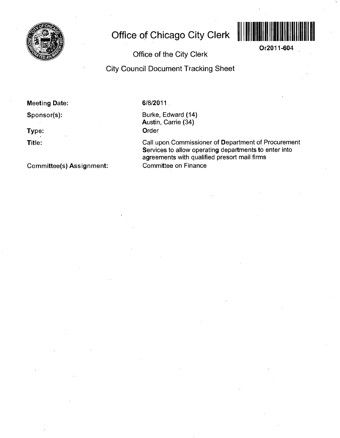

## **Office of Chicago City Clerk**



**Or2011-604** 

**Office of the City Clerk** 

**City Council Document Tracking Sheet** 

**Meeting Date:** 

**Sponsor(s):** 

**Type:** 

**Title:** 

**Committee(s) Assignment:** 

## 6/8/2011

Burke, Edward (14) Austin, Carrie (34) **Order** 

Call upon,Commissioner of Department of Procurement Services to allow operating departments to enter into agreements with qualified presort mail firms Committee on Finance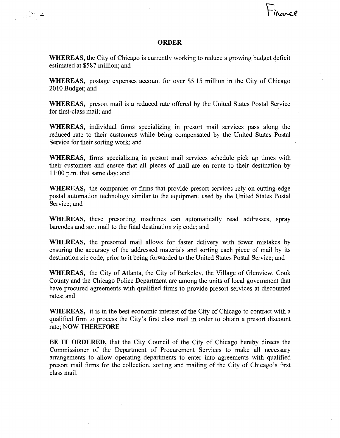## **ORDER**

WHEREAS, the City of Chicago is currently working to reduce a growing budget deficit estimated at \$587 million; and

WHEREAS, postage expenses account for over \$5.15 million in the City of Chicago 2010 Budget; and

WHEREAS, presort mail is a reduced rate offered by the United States Postal Service for first-class mail; and

WHEREAS, individual firms specializing in presort mail services pass along the reduced rate to their customers while being compensated by the United States Postal Service for their sorting work; and

WHEREAS, firms specializing in presort mail services schedule pick up times with their customers and ensure that all pieces of mail are en route to their destination by 11:00 p.m. that same day; and

WHEREAS, the companies or firms that provide presort services rely on cutting-edge postal automation technology similar to the equipment used by the United States Postal Service; and

WHEREAS, these presorting machines can automatically read addresses, spray barcodes and sort mail to the final destination zip code; and

WHEREAS, the presorted mail allows for faster delivery with fewer mistakes by ensuring the accuracy of the addressed materials and sorting each piece of mail by its destination zip code, prior to it being forwarded to the United States Postal Service; and

WHEREAS, the City of Atlanta, the City of Berkeley, the Village of Glenview, Cook County and the Chicago Police Department are among the units of local govemment that have procured agreements with qualified firms to provide presort services at discounted rates; and

WHEREAS, it is in the best economic interest of the City of Chicago to contract with a qualified firm to process the City's first class mail in order to obtain a presort discount rate; NOW THEREFORE

BE IT ORDERED, that the City Council of the City of Chicago hereby directs the Commissioner of the Department of Procurement Services to make all necessary arrangements to allow operating departments to enter into agreements with qualified presort mail firms for the collection, sorting and mailing of the City of Chicago's first class mail.